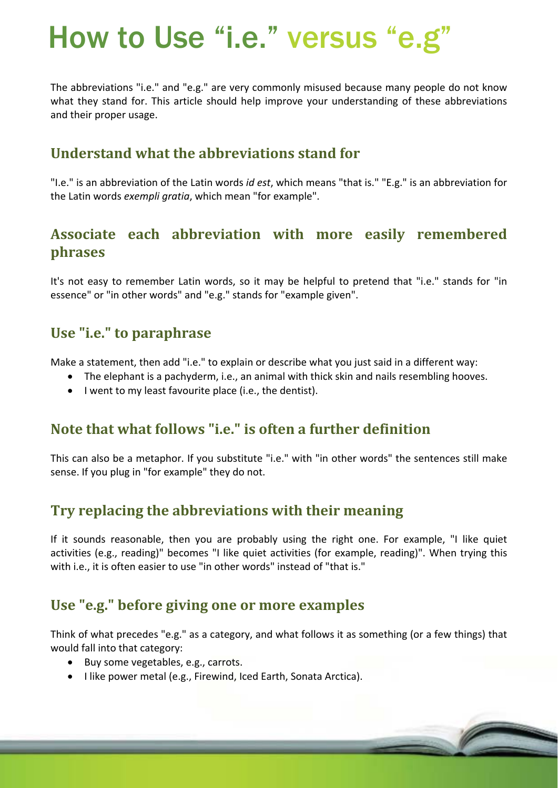# How to Use "i.e." versus "e.g"

The abbreviations "i.e." and "e.g." are very commonly misused because many people do not know what they stand for. This article should help improve your understanding of these abbreviations and their proper usage.

# **Understand what the abbreviations stand for**

"I.e." is an abbreviation of the Latin words *id est*, which means "that is." "E.g." is an abbreviation for the Latin words *exempli gratia*, which mean "for example".

## **Associate each abbreviation with more easily remembered phrases**

It's not easy to remember Latin words, so it may be helpful to pretend that "i.e." stands for "in essence" or "in other words" and "e.g." stands for "example given".

## **Use "i.e." to paraphrase**

Make a statement, then add "i.e." to explain or describe what you just said in a different way:

- The elephant is a pachyderm, i.e., an animal with thick skin and nails resembling hooves.
- I went to my least favourite place (i.e., the dentist).

#### **Note that what follows "i.e." is often a further definition**

This can also be a metaphor. If you substitute "i.e." with "in other words" the sentences still make sense. If you plug in "for example" they do not.

## **Try replacing the abbreviations with their meaning**

If it sounds reasonable, then you are probably using the right one. For example, "I like quiet activities (e.g., reading)" becomes "I like quiet activities (for example, reading)". When trying this with i.e., it is often easier to use "in other words" instead of "that is."

## **Use "e.g." before giving one or more examples**

Think of what precedes "e.g." as a category, and what follows it as something (or a few things) that would fall into that category:

- Buy some vegetables, e.g., carrots.
- I like power metal (e.g., Firewind, Iced Earth, Sonata Arctica).